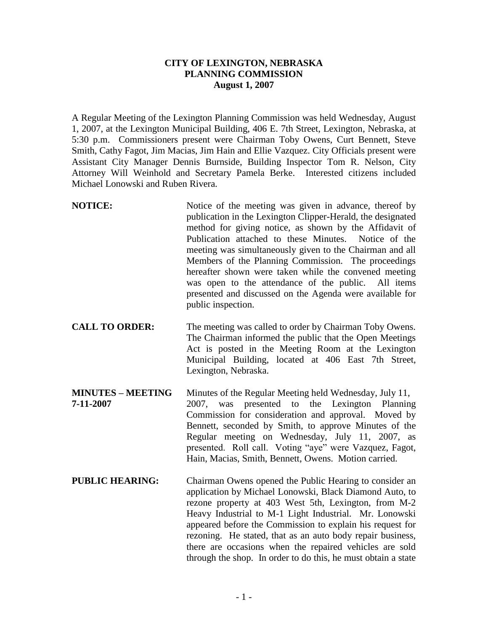## **CITY OF LEXINGTON, NEBRASKA PLANNING COMMISSION August 1, 2007**

A Regular Meeting of the Lexington Planning Commission was held Wednesday, August 1, 2007, at the Lexington Municipal Building, 406 E. 7th Street, Lexington, Nebraska, at 5:30 p.m. Commissioners present were Chairman Toby Owens, Curt Bennett, Steve Smith, Cathy Fagot, Jim Macias, Jim Hain and Ellie Vazquez. City Officials present were Assistant City Manager Dennis Burnside, Building Inspector Tom R. Nelson, City Attorney Will Weinhold and Secretary Pamela Berke. Interested citizens included Michael Lonowski and Ruben Rivera.

- **NOTICE:** Notice of the meeting was given in advance, thereof by publication in the Lexington Clipper-Herald, the designated method for giving notice, as shown by the Affidavit of Publication attached to these Minutes. Notice of the meeting was simultaneously given to the Chairman and all Members of the Planning Commission. The proceedings hereafter shown were taken while the convened meeting was open to the attendance of the public. All items presented and discussed on the Agenda were available for public inspection.
- **CALL TO ORDER:** The meeting was called to order by Chairman Toby Owens. The Chairman informed the public that the Open Meetings Act is posted in the Meeting Room at the Lexington Municipal Building, located at 406 East 7th Street, Lexington, Nebraska.
- **MINUTES – MEETING** Minutes of the Regular Meeting held Wednesday, July 11, **7-11-2007** 2007, was presented to the Lexington Planning Commission for consideration and approval. Moved by Bennett, seconded by Smith, to approve Minutes of the Regular meeting on Wednesday, July 11, 2007, as presented. Roll call. Voting "aye" were Vazquez, Fagot, Hain, Macias, Smith, Bennett, Owens. Motion carried.
- **PUBLIC HEARING:** Chairman Owens opened the Public Hearing to consider an application by Michael Lonowski, Black Diamond Auto, to rezone property at 403 West 5th, Lexington, from M-2 Heavy Industrial to M-1 Light Industrial. Mr. Lonowski appeared before the Commission to explain his request for rezoning. He stated, that as an auto body repair business, there are occasions when the repaired vehicles are sold through the shop. In order to do this, he must obtain a state